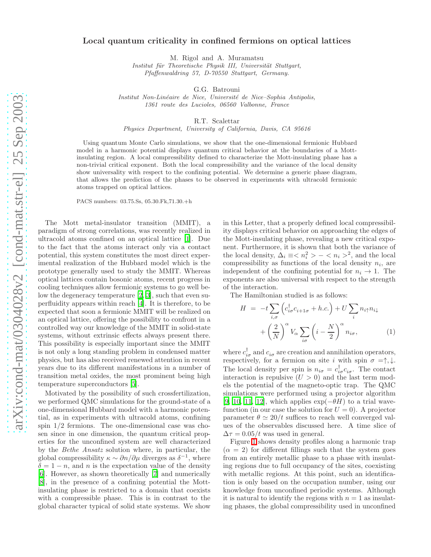## Local quantum criticality in confined fermions on optical lattices

M. Rigol and A. Muramatsu

Institut für Theoretische Physik III, Universität Stuttgart, Pfaffenwaldring 57, D-70550 Stuttgart, Germany.

G.G. Batrouni

Institut Non-Linéaire de Nice, Université de Nice–Sophia Antipolis, 1361 route des Lucioles, 06560 Valbonne, France

R.T. Scalettar

Physics Department, University of California, Davis, CA 95616

Using quantum Monte Carlo simulations, we show that the one-dimensional fermionic Hubbard model in a harmonic potential displays quantum critical behavior at the boundaries of a Mottinsulating region. A local compressibility defined to characterize the Mott-insulating phase has a non-trivial critical exponent. Both the local compressibility and the variance of the local density show universality with respect to the confining potential. We determine a generic phase diagram, that allows the prediction of the phases to be observed in experiments with ultracold fermionic atoms trapped on optical lattices.

PACS numbers: 03.75.Ss, 05.30.Fk,71.30.+h

The Mott metal-insulator transition (MMIT), a paradigm of strong correlations, was recently realized in ultracold atoms confined on an optical lattice [\[1](#page-3-0)]. Due to the fact that the atoms interact only via a contact potential, this system constitutes the most direct experimental realization of the Hubbard model which is the prototype generally used to study the MMIT. Whereas optical lattices contain bosonic atoms, recent progress in cooling techniques allow fermionic systems to go well below the degeneracy temperature [\[2](#page-3-1), [3\]](#page-3-2), such that even superfluidity appears within reach [\[4\]](#page-3-3). It is therefore, to be expected that soon a fermionic MMIT will be realized on an optical lattice, offering the possibility to confront in a controlled way our knowledge of the MMIT in solid-state systems, without extrinsic effects always present there. This possibility is especially important since the MMIT is not only a long standing problem in condensed matter physics, but has also received renewed attention in recent years due to its different manifestations in a number of transition metal oxides, the most prominent being high temperature superconductors [\[5\]](#page-3-4).

Motivated by the possibility of such crossfertilization, we performed QMC simulations for the ground-state of a one-dimensional Hubbard model with a harmonic potential, as in experiments with ultracold atoms, confining spin 1/2 fermions. The one-dimensional case was chosen since in one dimension, the quantum critical properties for the unconfined system are well characterized by the Bethe Ansatz solution where, in particular, the global compressibility  $\kappa \sim \partial n/\partial \mu$  diverges as  $\delta^{-1}$ , where  $\delta = 1 - n$ , and n is the expectation value of the density [\[6\]](#page-3-5). However, as shown theoretically [\[7\]](#page-3-6) and numerically [\[8\]](#page-3-7), in the presence of a confining potential the Mottinsulating phase is restricted to a domain that coexists with a compressible phase. This is in contrast to the global character typical of solid state systems. We show

in this Letter, that a properly defined local compressibility displays critical behavior on approaching the edges of the Mott-insulating phase, revealing a new critical exponent. Furthermore, it is shown that both the variance of the local density,  $\Delta_i \equiv \langle n_i^2 \rangle - \langle n_i \rangle^2$ , and the local compressibility as functions of the local density  $n_i$ , are independent of the confining potential for  $n_i \rightarrow 1$ . The exponents are also universal with respect to the strength of the interaction.

The Hamiltonian studied is as follows:

$$
H = -t \sum_{i,\sigma} \left( c_{i\sigma}^{\dagger} c_{i+1\sigma} + h.c. \right) + U \sum_{i} n_{i\uparrow} n_{i\downarrow}
$$

$$
+ \left( \frac{2}{N} \right)^{\alpha} V_{\alpha} \sum_{i\sigma} \left( i - \frac{N}{2} \right)^{\alpha} n_{i\sigma}, \tag{1}
$$

where  $c_{i\sigma}^{\dagger}$  and  $c_{i\sigma}$  are creation and annihilation operators, respectively, for a fermion on site i with spin  $\sigma = \uparrow, \downarrow$ . The local density per spin is  $n_{i\sigma} = c_{i\sigma}^{\dagger} c_{i\sigma}$ . The contact interaction is repulsive  $(U > 0)$  and the last term models the potential of the magneto-optic trap. The QMC simulations were performed using a projector algorithm [\[9,](#page-3-8) [10](#page-3-9), [11,](#page-3-10) [12](#page-3-11)], which applies  $\exp(-\theta H)$  to a trial wavefunction (in our case the solution for  $U = 0$ ). A projector parameter  $\theta \simeq 20/t$  suffices to reach well converged values of the observables discussed here. A time slice of  $\Delta \tau = 0.05/t$  was used in general.

Figure [1](#page-1-0) shows density profiles along a harmonic trap  $(\alpha = 2)$  for different fillings such that the system goes from an entirely metallic phase to a phase with insulating regions due to full occupancy of the sites, coexisting with metallic regions. At this point, such an identification is only based on the occupation number, using our knowledge from unconfined periodic systems. Although it is natural to identify the regions with  $n = 1$  as insulating phases, the global compressibility used in unconfined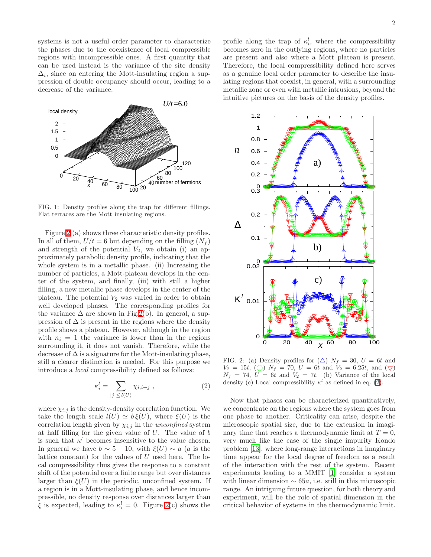systems is not a useful order parameter to characterize the phases due to the coexistence of local compressible regions with incompressible ones. A first quantity that can be used instead is the variance of the site density  $\Delta_i$ , since on entering the Mott-insulating region a suppression of double occupancy should occur, leading to a decrease of the variance.



<span id="page-1-0"></span>FIG. 1: Density profiles along the trap for different fillings. Flat terraces are the Mott insulating regions.

Figure [2](#page-1-1) (a) shows three characteristic density profiles. In all of them,  $U/t = 6$  but depending on the filling  $(N_f)$ and strength of the potential  $V_2$ , we obtain (i) an approximately parabolic density profile, indicating that the whole system is in a metallic phase. (ii) Increasing the number of particles, a Mott-plateau develops in the center of the system, and finally, (iii) with still a higher filling, a new metallic phase develops in the center of the plateau. The potential  $V_2$  was varied in order to obtain well developed phases. The corresponding profiles for the variance  $\Delta$  are shown in Fig[.2\(](#page-1-1)b). In general, a suppression of  $\Delta$  is present in the regions where the density profile shows a plateau. However, although in the region with  $n_i = 1$  the variance is lower than in the regions surrounding it, it does not vanish. Therefore, while the decrease of  $\Delta$  is a signature for the Mott-insulating phase, still a clearer distinction is needed. For this purpose we introduce a local compressibility defined as follows:

<span id="page-1-2"></span>
$$
\kappa_i^l = \sum_{|j| \le l(U)} \chi_{i,i+j} \,, \tag{2}
$$

where  $\chi_{i,j}$  is the density-density correlation function. We take the length scale  $l(U) \simeq b \xi(U)$ , where  $\xi(U)$  is the correlation length given by  $\chi_{i,j}$  in the unconfined system at half filling for the given value of  $U$ . The value of  $b$ is such that  $\kappa^l$  becomes insensitive to the value chosen. In general we have  $b \sim 5 - 10$ , with  $\xi(U) \sim a$  (a is the lattice constant) for the values of  $U$  used here. The local compressibility thus gives the response to a constant shift of the potential over a finite range but over distances larger than  $\xi(U)$  in the periodic, unconfined system. If a region is in a Mott-insulating phase, and hence incompressible, no density response over distances larger than  $\xi$  is expected, leading to  $\kappa_i^l = 0$ . Figure [2\(](#page-1-1)c) shows the

profile along the trap of  $\kappa_i^l$ , where the compressibility becomes zero in the outlying regions, where no particles are present and also where a Mott plateau is present. Therefore, the local compressibility defined here serves as a genuine local order parameter to describe the insulating regions that coexist, in general, with a surrounding metallic zone or even with metallic intrusions, beyond the intuitive pictures on the basis of the density profiles.



<span id="page-1-1"></span>FIG. 2: (a) Density profiles for  $(\triangle)$   $N_f = 30$ ,  $U = 6t$  and  $V_2 = 15t$ , ()  $N_f = 70$ ,  $U = 6t$  and  $V_2 = 6.25t$ , and  $(\nabla)$  $N_f = 74, U = 6t$  and  $V_2 = 7t$ . (b) Variance of the local density (c) Local compressibility  $\kappa^l$  as defined in eq. [\(2\)](#page-1-2).

Now that phases can be characterized quantitatively, we concentrate on the regions where the system goes from one phase to another. Criticality can arise, despite the microscopic spatial size, due to the extension in imaginary time that reaches a thermodynamic limit at  $T = 0$ , very much like the case of the single impurity Kondo problem [\[13](#page-3-12)], where long-range interactions in imaginary time appear for the local degree of freedom as a result of the interaction with the rest of the system. Recent experiments leading to a MMIT [\[1\]](#page-3-0) consider a system with linear dimension  $\sim 65a$ , i.e. still in this microscopic range. An intriguing future question, for both theory and experiment, will be the role of spatial dimension in the critical behavior of systems in the thermodynamic limit.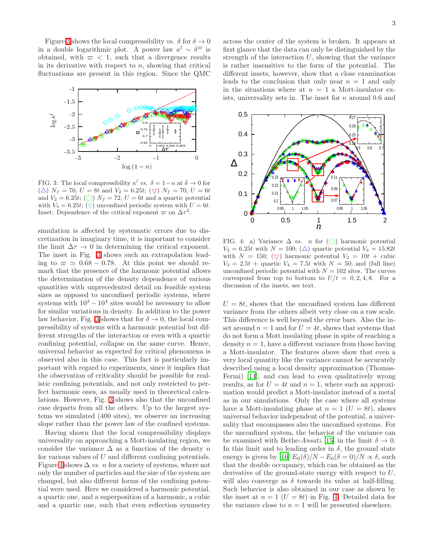Figure [3](#page-2-0) shows the local compressibility vs.  $\delta$  for  $\delta \to 0$ in a double logarithmic plot. A power law  $\kappa^l \sim \delta^{\varpi}$  is obtained, with  $\varpi$  < 1, such that a divergence results in its derivative with respect to  $n$ , showing that critical fluctuations are present in this region. Since the QMC



<span id="page-2-0"></span>FIG. 3: The local compressibility  $\kappa^l$  vs.  $\delta = 1 - n$  at  $\delta \to 0$  for  $(\triangle)$   $N_f = 70$ ,  $U = 8t$  and  $V_2 = 6.25t$ ;  $(\nabla)$   $N_f = 70$ ,  $U = 6t$ and  $V_2 = 6.25t$ ; (O)  $N_f = 72$ ,  $U = 6t$  and a quartic potential with  $V_4 = 6.25t$ ; ( $\Diamond$ ) unconfined periodic system with  $U = 6t$ . Inset: Dependence of the critical exponent  $\varpi$  on  $\Delta \tau^2$ .

simulation is affected by systematic errors due to discretization in imaginary time, it is important to consider the limit  $\Delta \tau \rightarrow 0$  in determining the critical exponent. The inset in Fig. [3](#page-2-0) shows such an extrapolation leading to  $\varpi \simeq 0.68 - 0.78$ . At this point we should remark that the presence of the harmonic potential allows the determination of the density dependence of various quantities with unprecedented detail on feasible system sizes as opposed to unconfined periodic systems, where systems with  $10^3 - 10^4$  sites would be necessary to allow for similar variations in density. In addition to the power law behavior, Fig. [3](#page-2-0) shows that for  $\delta \to 0$ , the local compressibility of systems with a harmonic potential but different strengths of the interaction or even with a quartic confining potential, collapse on the same curve. Hence, universal behavior as expected for critical phenomena is observed also in this case. This fact is particularly important with regard to experiments, since it implies that the observation of criticality should be possible for realistic confining potentials, and not only restricted to perfect harmonic ones, as usually used in theoretical calculations. However, Fig. [3](#page-2-0) shows also that the unconfined case departs from all the others. Up to the largest systems we simulated (400 sites), we observe an increasing slope rather than the power law of the confined systems.

Having shown that the local compressibility displays universality on approaching a Mott-insulating region, we consider the variance  $\Delta$  as a function of the density n for various values of  $U$  and different confining potentials. Figure [4](#page-2-1) shows  $\Delta$  vs. n for a variety of systems, where not only the number of particles and the size of the system are changed, but also different forms of the confining potential were used. Here we considered a harmonic potential, a quartic one, and a superposition of a harmonic, a cubic and a quartic one, such that even reflection symmetry

across the center of the system is broken. It appears at first glance that the data can only be distinguished by the strength of the interaction  $U$ , showing that the variance is rather insensitive to the form of the potential. The different insets, however, show that a close examination leads to the conclusion that only near  $n = 1$  and only in the situations where at  $n = 1$  a Mott-insulator exists, universality sets in. The inset for n around 0.6 and



<span id="page-2-1"></span>FIG. 4: a) Variance  $\Delta$  vs. n for  $\textcircled{()}$  harmonic potential  $V_2 = 6.25t$  with  $N = 100$ ; ( $\triangle$ ) quartic potential  $V_4 = 15.82t$ with  $N = 150$ ;  $(\nabla)$  harmonic potential  $V_2 = 10t +$  cubic  $V_3 = 2.5t +$  quartic  $V_4 = 7.5t$  with  $N = 50$ ; and (full line) unconfined periodic potential with  $N = 102$  sites. The curves correspond from top to bottom to  $U/t = 0, 2, 4, 8$ . For a discussion of the insets, see text.

 $U = 8t$ , shows that the unconfined system has different variance from the others albeit very close on a raw scale. This difference is well beyond the error bars. Also the inset around  $n = 1$  and for  $U = 4t$ , shows that systems that do not form a Mott insulating phase in spite of reaching a density  $n = 1$ , have a different variance from those having a Mott-insulator. The features above show that even a very local quantity like the variance cannot be accurately described using a local density approximation (Thomas-Fermi) [\[14\]](#page-3-13), and can lead to even qualitatively wrong results, as for  $U = 4t$  and  $n = 1$ , where such an approximation would predict a Mott-insulator instead of a metal as in our simulations. Only the case where all systems have a Mott-insulating phase at  $n = 1$   $(U = 8t)$ , shows universal behavior independent of the potential, a universality that encompasses also the unconfined systems. For the unconfined system, the behavior of the variance can be examined with Bethe-Ansatz [\[15](#page-3-14)] in the limit  $\delta \to 0$ . In this limit and to leading order in  $\delta$ , the ground state energy is given by [\[16\]](#page-3-15)  $E_0(\delta)/N - E_0(\delta = 0)/N \propto \delta$ , such that the double occupancy, which can be obtained as the derivative of the ground-state energy with respect to U, will also converge as  $\delta$  towards its value at half-filling. Such behavior is also obtained in our case as shown by the inset at  $n = 1$   $(U = 8t)$  in Fig. [4.](#page-2-1) Detailed data for the variance close to  $n = 1$  will be presented elsewhere.